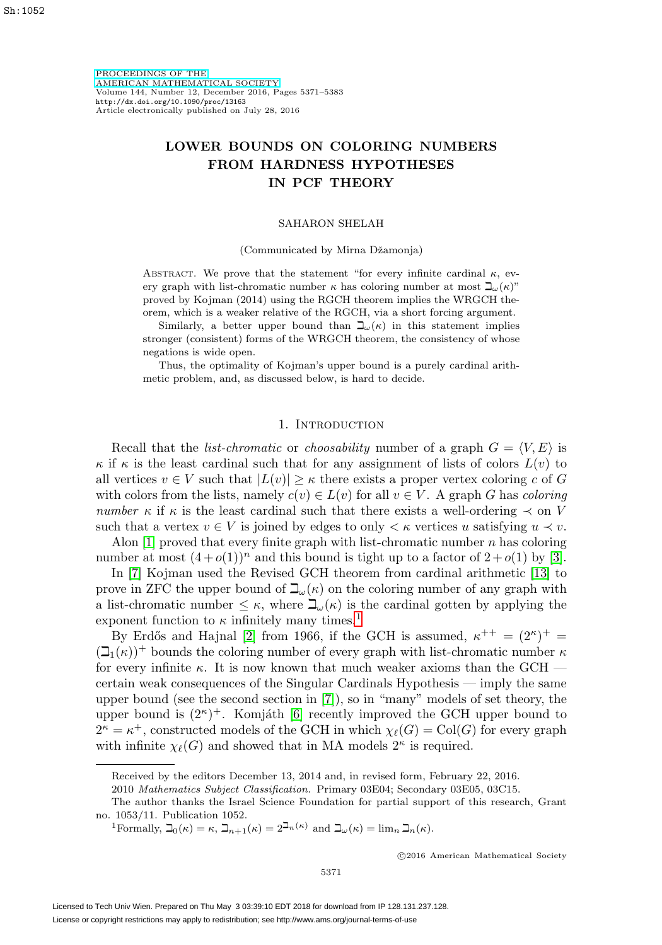[PROCEEDINGS OF THE](http://www.ams.org/proc/) [AMERICAN MATHEMATICAL SOCIETY](http://www.ams.org/proc/) Volume 144, Number 12, December 2016, Pages 5371–5383 <http://dx.doi.org/10.1090/proc/13163> Article electronically published on July 28, 2016

# **LOWER BOUNDS ON COLORING NUMBERS FROM HARDNESS HYPOTHESES IN PCF THEORY**

## SAHARON SHELAH

## (Communicated by Mirna Dˇzamonja)

ABSTRACT. We prove that the statement "for every infinite cardinal  $\kappa$ , every graph with list-chromatic number  $\kappa$  has coloring number at most  $\mathbb{L}(\kappa)$ " proved by Kojman (2014) using the RGCH theorem implies the WRGCH theorem, which is a weaker relative of the RGCH, via a short forcing argument.

Similarly, a better upper bound than  $\beth_\omega(\kappa)$  in this statement implies stronger (consistent) forms of the WRGCH theorem, the consistency of whose negations is wide open.

Thus, the optimality of Kojman's upper bound is a purely cardinal arithmetic problem, and, as discussed below, is hard to decide.

# 1. INTRODUCTION

Recall that the *list-chromatic* or *choosability* number of a graph  $G = \langle V, E \rangle$  is  $\kappa$  if  $\kappa$  is the least cardinal such that for any assignment of lists of colors  $L(v)$  to all vertices  $v \in V$  such that  $|L(v)| \geq \kappa$  there exists a proper vertex coloring c of G with colors from the lists, namely  $c(v) \in L(v)$  for all  $v \in V$ . A graph G has coloring number  $\kappa$  if  $\kappa$  is the least cardinal such that there exists a well-ordering  $\prec$  on V such that a vertex  $v \in V$  is joined by edges to only  $\lt \kappa$  vertices u satisfying  $u \lt v$ .

Alon  $[1]$  proved that every finite graph with list-chromatic number n has coloring number at most  $(4+o(1))^n$  and this bound is tight up to a factor of  $2+o(1)$  by [\[3\]](#page-11-1).

In [\[7\]](#page-11-2) Kojman used the Revised GCH theorem from cardinal arithmetic [\[13\]](#page-12-0) to prove in ZFC the upper bound of  $\mathcal{L}_{\omega}(\kappa)$  on the coloring number of any graph with a list-chromatic number  $\leq \kappa$ , where  $\mathbb{L}_{\omega}(\kappa)$  is the cardinal gotten by applying the exponent function to  $\kappa$  infinitely many times.<sup>[1](#page-0-0)</sup>

By Erdős and Hajnal [\[2\]](#page-11-3) from 1966, if the GCH is assumed,  $\kappa^{++} = (2^{\kappa})^+ =$  $(\mathcal{L}_1(\kappa))^+$  bounds the coloring number of every graph with list-chromatic number  $\kappa$ for every infinite  $\kappa$ . It is now known that much weaker axioms than the GCH  $$ certain weak consequences of the Singular Cardinals Hypothesis — imply the same upper bound (see the second section in [\[7\]](#page-11-2)), so in "many" models of set theory, the upper bound is  $(2^{\kappa})^+$ . Komjáth [\[6\]](#page-11-4) recently improved the GCH upper bound to  $2^{\kappa} = \kappa^+$ , constructed models of the GCH in which  $\chi_{\ell}(G) = \text{Col}(G)$  for every graph with infinite  $\chi_{\ell}(G)$  and showed that in MA models  $2^{\kappa}$  is required.

<span id="page-0-0"></span><sup>1</sup>Formally,  $\mathbb{I}_0(\kappa) = \kappa$ ,  $\mathbb{I}_{n+1}(\kappa) = 2^{\mathbb{I}_{n}(\kappa)}$  and  $\mathbb{I}_{\omega}(\kappa) = \lim_{n} \mathbb{I}_{n}(\kappa)$ .

-c 2016 American Mathematical Society

Received by the editors December 13, 2014 and, in revised form, February 22, 2016.

<sup>2010</sup> Mathematics Subject Classification. Primary 03E04; Secondary 03E05, 03C15.

The author thanks the Israel Science Foundation for partial support of this research, Grant no. 1053/11. Publication 1052.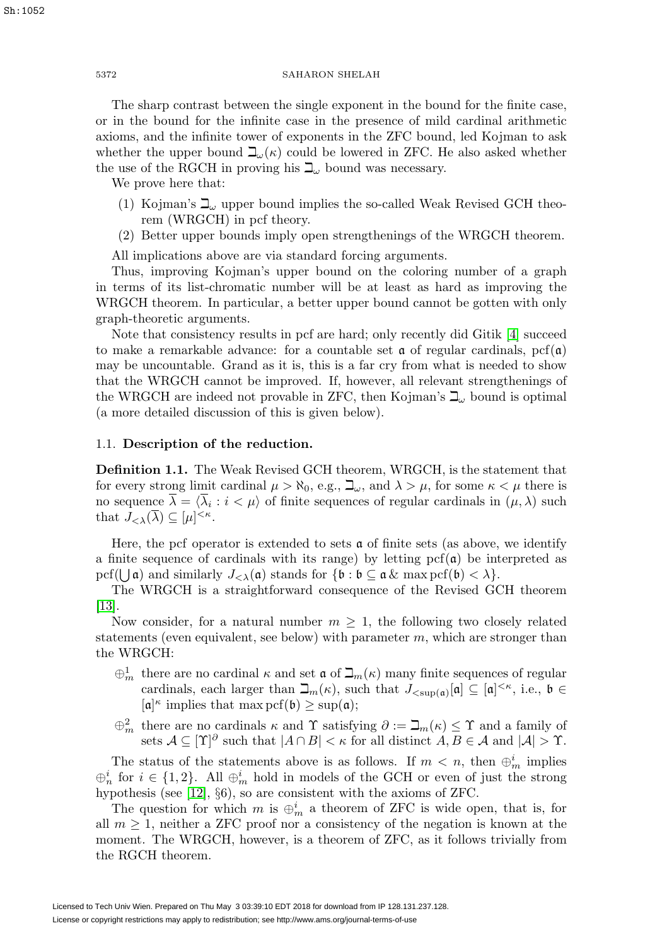Sh:1052

## 5372 SAHARON SHELAH

The sharp contrast between the single exponent in the bound for the finite case, or in the bound for the infinite case in the presence of mild cardinal arithmetic axioms, and the infinite tower of exponents in the ZFC bound, led Kojman to ask whether the upper bound  $\mathcal{L}_{\omega}(\kappa)$  could be lowered in ZFC. He also asked whether the use of the RGCH in proving his  $\mathbb{L}_{\omega}$  bound was necessary.

We prove here that:

- (1) Kojman's  $\mathbb{L}_{\omega}$  upper bound implies the so-called Weak Revised GCH theorem (WRGCH) in pcf theory.
- (2) Better upper bounds imply open strengthenings of the WRGCH theorem.

All implications above are via standard forcing arguments.

Thus, improving Kojman's upper bound on the coloring number of a graph in terms of its list-chromatic number will be at least as hard as improving the WRGCH theorem. In particular, a better upper bound cannot be gotten with only graph-theoretic arguments.

Note that consistency results in pcf are hard; only recently did Gitik [\[4\]](#page-11-5) succeed to make a remarkable advance: for a countable set  $\alpha$  of regular cardinals,  $\text{pcf}(\alpha)$ may be uncountable. Grand as it is, this is a far cry from what is needed to show that the WRGCH cannot be improved. If, however, all relevant strengthenings of the WRGCH are indeed not provable in ZFC, then Kojman's  $\mathbb{L}$  bound is optimal (a more detailed discussion of this is given below).

# 1.1. **Description of the reduction.**

**Definition 1.1.** The Weak Revised GCH theorem, WRGCH, is the statement that for every strong limit cardinal  $\mu > \aleph_0$ , e.g.,  $\beth_\omega$ , and  $\lambda > \mu$ , for some  $\kappa < \mu$  there is no sequence  $\lambda = \langle \lambda_i : i \langle \mu \rangle$  of finite sequences of regular cardinals in  $(\mu, \lambda)$  such that  $J_{\leq \lambda}(\overline{\lambda}) \subseteq [\mu]^{<\kappa}$ .

Here, the pcf operator is extended to sets  $\alpha$  of finite sets (as above, we identify a finite sequence of cardinals with its range) by letting  $\text{pcf}(\mathfrak{a})$  be interpreted as  $\text{pcf}(\bigcup \mathfrak{a})$  and similarly  $J_{\lt\lambda}(\mathfrak{a})$  stands for  $\{\mathfrak{b}:\mathfrak{b}\subseteq \mathfrak{a} \& \max \text{pcf}(\mathfrak{b})\lt\lambda\}.$ 

The WRGCH is a straightforward consequence of the Revised GCH theorem [\[13\]](#page-12-0).

Now consider, for a natural number  $m \geq 1$ , the following two closely related statements (even equivalent, see below) with parameter  $m$ , which are stronger than the WRGCH:

- $\oplus_m^1$  there are no cardinal  $\kappa$  and set  $\mathfrak{a}$  of  $\mathfrak{I}_m(\kappa)$  many finite sequences of regular cardinals, each larger than  $\mathcal{L}_m(\kappa)$ , such that  $J_{\langle \text{supp}(\mathfrak{a})}[\mathfrak{a}] \subseteq [\mathfrak{a}]^{\langle \kappa \rangle}$ , i.e.,  $\mathfrak{b} \in$  $[a]^{\kappa}$  implies that max pcf(b)  $\geq$  sup(a);
- $\oplus_m^2$  there are no cardinals  $\kappa$  and  $\Upsilon$  satisfying  $\partial := \beth_m(\kappa) \leq \Upsilon$  and a family of sets  $A \subseteq [\Upsilon]^{\partial}$  such that  $|A \cap B| < \kappa$  for all distinct  $A, B \in \mathcal{A}$  and  $|A| > \Upsilon$ .

The status of the statements above is as follows. If  $m < n$ , then  $\bigoplus_{m=1}^{i}$  implies  $\oplus_n^i$  for  $i \in \{1,2\}$ . All  $\oplus_m^i$  hold in models of the GCH or even of just the strong hypothesis (see [\[12\]](#page-12-1), §6), so are consistent with the axioms of ZFC.

The question for which m is  $\oplus_m^i$  a theorem of ZFC is wide open, that is, for all  $m \geq 1$ , neither a ZFC proof nor a consistency of the negation is known at the moment. The WRGCH, however, is a theorem of ZFC, as it follows trivially from the RGCH theorem.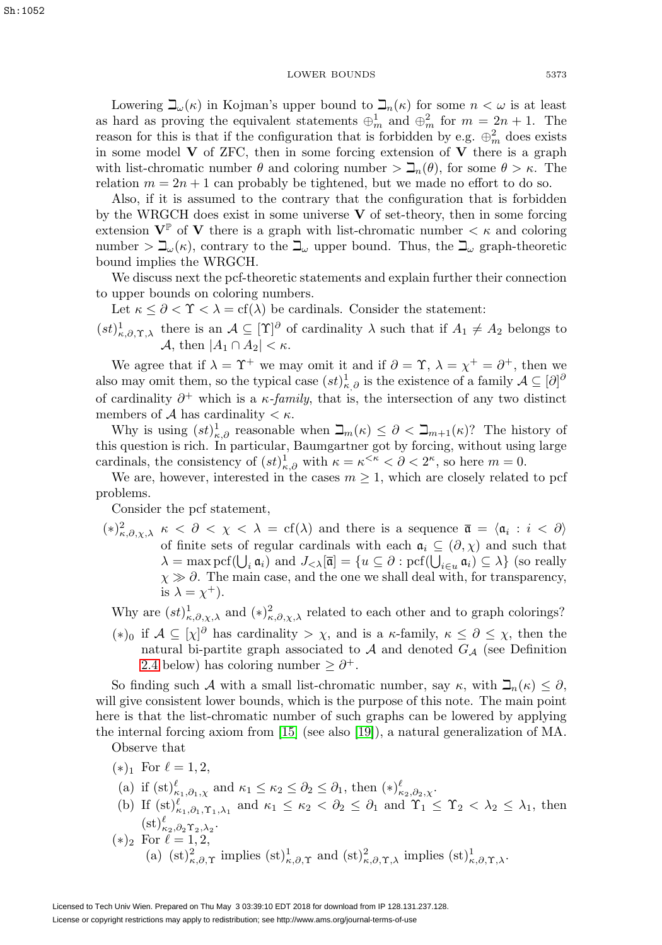Lowering  $\beth_\omega(\kappa)$  in Kojman's upper bound to  $\beth_n(\kappa)$  for some  $n < \omega$  is at least as hard as proving the equivalent statements  $\bigoplus_{m=1}^{n}$  and  $\bigoplus_{m=1}^{2}$  for  $m=2n+1$ . The reason for this is that if the configuration that is forbidden by e.g.  $\oplus_m^2$  does exists in some model  $\bf{V}$  of ZFC, then in some forcing extension of  $\bf{V}$  there is a graph with list-chromatic number  $\theta$  and coloring number  $\sum_n(\theta)$ , for some  $\theta > \kappa$ . The relation  $m = 2n + 1$  can probably be tightened, but we made no effort to do so.

Also, if it is assumed to the contrary that the configuration that is forbidden by the WRGCH does exist in some universe **V** of set-theory, then in some forcing extension  $V^{\mathbb{P}}$  of **V** there is a graph with list-chromatic number  $\lt \kappa$  and coloring number  $> \Delta_{\omega}(\kappa)$ , contrary to the  $\Delta_{\omega}$  upper bound. Thus, the  $\Delta_{\omega}$  graph-theoretic bound implies the WRGCH.

We discuss next the pcf-theoretic statements and explain further their connection to upper bounds on coloring numbers.

Let  $\kappa \leq \partial < \Upsilon < \lambda = \text{cf}(\lambda)$  be cardinals. Consider the statement:

 $(st)_{\kappa,\partial,\Upsilon,\lambda}^1$  there is an  $\mathcal{A}\subseteq[\Upsilon]\partial$  of cardinality  $\lambda$  such that if  $A_1\neq A_2$  belongs to A, then  $|A_1 \cap A_2| < \kappa$ .

We agree that if  $\lambda = \Upsilon^+$  we may omit it and if  $\partial = \Upsilon$ ,  $\lambda = \chi^+ = \partial^+$ , then we also may omit them, so the typical case  $(st)_{\kappa,\partial}^1$  is the existence of a family  $\mathcal{A} \subseteq [\partial]^\partial$ of cardinality  $\partial^+$  which is a  $\kappa$ -family, that is, the intersection of any two distinct members of A has cardinality  $\lt \kappa$ .

Why is using  $(st)_{\kappa,\partial}^1$  reasonable when  $\beth_m(\kappa) \leq \partial < \beth_{m+1}(\kappa)$ ? The history of this question is rich. In particular, Baumgartner got by forcing, without using large cardinals, the consistency of  $(st)_{\kappa,\partial}^1$  with  $\kappa = \kappa^{\leq \kappa} < \partial < 2^{\kappa}$ , so here  $m = 0$ .

We are, however, interested in the cases  $m \geq 1$ , which are closely related to pcf problems.

Consider the pcf statement,

 $(*)_{\kappa,\partial,\chi,\lambda}^2 \kappa < \partial < \chi < \lambda = cf(\lambda)$  and there is a sequence  $\bar{\mathfrak{a}} = \langle \mathfrak{a}_i : i < \partial \rangle$ of finite sets of regular cardinals with each  $a_i \subseteq (\partial, \chi)$  and such that  $\lambda = \max_{i} \text{pcf}(\bigcup_{i} \mathfrak{a}_i) \text{ and } J_{< \lambda}[\overline{\mathfrak{a}}] = \{u \subseteq \partial : \text{pcf}(\bigcup_{i \in u} \mathfrak{a}_i) \subseteq \lambda\} \text{ (so really)}$  $\chi \gg \partial$ . The main case, and the one we shall deal with, for transparency, is  $\lambda = \chi^+$ ).

Why are  $(st)_{\kappa,\partial,\chi,\lambda}^1$  and  $(*)_{\kappa,\partial,\chi,\lambda}^2$  related to each other and to graph colorings?

(\*)<sub>0</sub> if  $\mathcal{A} \subseteq [\chi]^{\partial}$  has cardinality >  $\chi$ , and is a  $\kappa$ -family,  $\kappa \leq \partial \leq \chi$ , then the natural bi-partite graph associated to  $A$  and denoted  $G_A$  (see Definition 2.4 below) has coloring number  $\geq \partial^+$ .

So finding such A with a small list-chromatic number, say  $\kappa$ , with  $\Box_n(\kappa) \leq \partial$ , will give consistent lower bounds, which is the purpose of this note. The main point here is that the list-chromatic number of such graphs can be lowered by applying the internal forcing axiom from [\[15\]](#page-12-2) (see also [\[19\]](#page-12-3)), a natural generalization of MA.

Observe that

- $(*)_1$  For  $\ell = 1, 2,$
- (a) if  $(st)_{\kappa_1,\partial_1,\chi}^{\ell}$  and  $\kappa_1 \leq \kappa_2 \leq \partial_2 \leq \partial_1$ , then  $(*)_{\kappa_2,\partial_2,\chi}^{\ell}$ .
- (b) If  $(st)_{\kappa_1,\partial_1,\Upsilon_1,\lambda_1}^{\ell}$  and  $\kappa_1 \leq \kappa_2 < \partial_2 \leq \partial_1$  and  $\Upsilon_1 \leq \Upsilon_2 < \lambda_2 \leq \lambda_1$ , then  $(\mathrm{st})_{\kappa_2,\partial_2\Upsilon_2,\lambda_2}^{\ell}$ .
- $(*)_2$  For  $\ell = 1, 2,$ (a)  $(st)_{\kappa,\partial,\Upsilon}^2$  implies  $(st)_{\kappa,\partial,\Upsilon}^1$  and  $(st)_{\kappa,\partial,\Upsilon,\lambda}^2$  implies  $(st)_{\kappa,\partial,\Upsilon,\lambda}^1$ .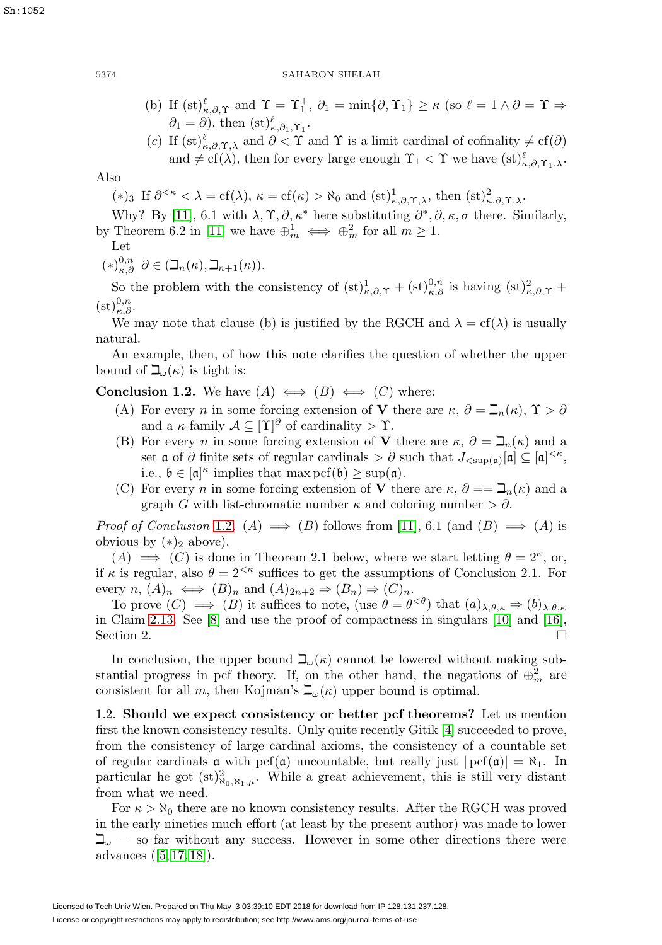- (b) If  $(st)_{\kappa,\partial,\Upsilon}^{\ell}$  and  $\Upsilon = \Upsilon_1^+, \partial_1 = \min\{\partial,\Upsilon_1\} \geq \kappa$  (so  $\ell = 1 \wedge \partial = \Upsilon \Rightarrow$  $\partial_1 = \partial$ , then  $(\mathrm{st})^{\ell}_{\kappa,\partial_1,\Upsilon_1}$ .
- (c) If  $(st)_{\kappa,\partial,\Upsilon,\lambda}^{\ell}$  and  $\partial < \Upsilon$  and  $\Upsilon$  is a limit cardinal of cofinality  $\neq cf(\partial)$ and  $\neq$  cf( $\lambda$ ), then for every large enough  $\Upsilon_1 < \Upsilon$  we have  $(st)_{\kappa,\partial,\Upsilon_1,\lambda}^{\ell}$ .

Also

- (\*)<sub>3</sub> If  $\partial^{\leq\kappa} < \lambda = cf(\lambda), \kappa = cf(\kappa) > \aleph_0$  and  $(st)_{\kappa,\partial,\Upsilon,\lambda}^1$ , then  $(st)_{\kappa,\partial,\Upsilon,\lambda}^2$ .
- Why? By [\[11\]](#page-12-4), 6.1 with  $\lambda$ ,  $\Upsilon$ ,  $\partial$ ,  $\kappa^*$  here substituting  $\partial^*, \partial$ ,  $\kappa$ ,  $\sigma$  there. Similarly, by Theorem 6.2 in [\[11\]](#page-12-4) we have  $\bigoplus_{m}^{1} \iff \bigoplus_{m}^{2}$  for all  $m \geq 1$ .

Let

$$
(*)_{\kappa,\partial}^{0,n} \partial \in (\mathbb{L}_n(\kappa), \mathbb{L}_{n+1}(\kappa)).
$$

So the problem with the consistency of  $(st)_{\kappa,\partial,\Upsilon}^1 + (st)_{\kappa,\partial}^{0,n}$  is having  $(st)_{\kappa,\partial,\Upsilon}^2 +$  $(\mathrm{st})_{\kappa,\partial}^{0,n}.$ 

We may note that clause (b) is justified by the RGCH and  $\lambda = cf(\lambda)$  is usually natural.

An example, then, of how this note clarifies the question of whether the upper bound of  $\mathbb{L}_{\omega}(\kappa)$  is tight is:

<span id="page-3-0"></span>**Conclusion 1.2.** We have  $(A) \iff (B) \iff (C)$  where:

- (A) For every *n* in some forcing extension of **V** there are  $\kappa$ ,  $\partial = \mathbb{I}_n(\kappa)$ ,  $\Upsilon > \partial$ and a  $\kappa$ -family  $\mathcal{A} \subseteq [\Upsilon]^\partial$  of cardinality >  $\Upsilon$ .
- (B) For every *n* in some forcing extension of **V** there are  $\kappa$ ,  $\partial = \mathcal{a}_{n}(\kappa)$  and a set  $\mathfrak a$  of  $\partial$  finite sets of regular cardinals  $\geq \partial$  such that  $J_{\langle \sup(\mathfrak a)|}[\mathfrak a] \subseteq [\mathfrak a]^{\langle \times \kappa},$ i.e.,  $\mathfrak{b} \in [\mathfrak{a}]^{\kappa}$  implies that  $\max \mathrm{pcf}(\mathfrak{b}) \geq \sup(\mathfrak{a})$ .
- (C) For every *n* in some forcing extension of **V** there are  $\kappa$ ,  $\partial = \mathcal{I}_n(\kappa)$  and a graph G with list-chromatic number  $\kappa$  and coloring number  $> \partial$ .

*Proof of Conclusion [1.2](#page-3-0).* (A)  $\implies$  (B) follows from [\[11\]](#page-12-4), 6.1 (and (B)  $\implies$  (A) is obvious by  $(*)_2$  above).

 $(A) \implies (C)$  is done in Theorem 2.1 below, where we start letting  $\theta = 2^{\kappa}$ , or, if  $\kappa$  is regular, also  $\theta = 2^{<\kappa}$  suffices to get the assumptions of Conclusion 2.1. For every  $n, (A)_n \iff (B)_n$  and  $(A)_{2n+2} \Rightarrow (B_n) \Rightarrow (C)_n$ .

To prove  $(C) \implies (B)$  it suffices to note, (use  $\theta = \theta^{<\theta}$ ) that  $(a)_{\lambda,\theta,\kappa} \Rightarrow (b)_{\lambda,\theta,\kappa}$ in Claim [2.13.](#page-10-0) See [\[8\]](#page-11-6) and use the proof of compactness in singulars [\[10\]](#page-11-7) and [\[16\]](#page-12-5), Section 2.

In conclusion, the upper bound  $\mathcal{L}_{\omega}(\kappa)$  cannot be lowered without making substantial progress in pcf theory. If, on the other hand, the negations of  $\oplus_m^2$  are consistent for all m, then Kojman's  $\beth_\omega(\kappa)$  upper bound is optimal.

1.2. **Should we expect consistency or better pcf theorems?** Let us mention first the known consistency results. Only quite recently Gitik [\[4\]](#page-11-5) succeeded to prove, from the consistency of large cardinal axioms, the consistency of a countable set of regular cardinals  $\alpha$  with pcf( $\alpha$ ) uncountable, but really just  $|{\rm pcf}(\alpha)| = \aleph_1$ . In particular he got  $(st)_{\aleph_0,\aleph_1,\mu}^2$ . While a great achievement, this is still very distant from what we need.

For  $\kappa > \aleph_0$  there are no known consistency results. After the RGCH was proved in the early nineties much effort (at least by the present author) was made to lower  $\mathcal{L}_{\omega}$  — so far without any success. However in some other directions there were advances ([\[5,](#page-11-8) [17,](#page-12-6) [18\]](#page-12-7)).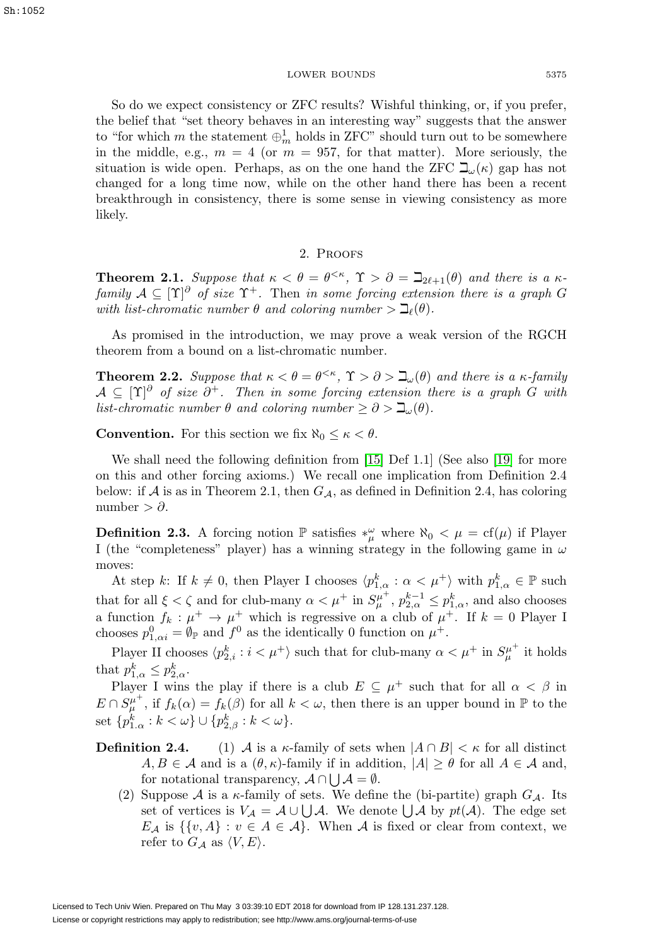So do we expect consistency or ZFC results? Wishful thinking, or, if you prefer, the belief that "set theory behaves in an interesting way" suggests that the answer to "for which  $m$  the statement  $\bigoplus_m^1$  holds in ZFC" should turn out to be somewhere in the middle, e.g.,  $m = 4$  (or  $m = 957$ , for that matter). More seriously, the situation is wide open. Perhaps, as on the one hand the ZFC  $\beth_\omega(\kappa)$  gap has not changed for a long time now, while on the other hand there has been a recent breakthrough in consistency, there is some sense in viewing consistency as more likely.

# 2. Proofs

**Theorem 2.1.** Suppose that  $\kappa < \theta = \theta^{< \kappa}$ ,  $\Upsilon > \partial = \beth_{2\ell+1}(\theta)$  and there is a  $\kappa$ family  $A \subseteq [\Upsilon]^{\partial}$  of size  $\Upsilon^{+}$ . Then in some forcing extension there is a graph G with list-chromatic number  $\theta$  and coloring number  $> \beth_{\ell}(\theta)$ .

As promised in the introduction, we may prove a weak version of the RGCH theorem from a bound on a list-chromatic number.

**Theorem 2.2.** Suppose that  $\kappa < \theta = \theta^{\leq \kappa}$ ,  $\Upsilon > \partial > \beth_\omega(\theta)$  and there is a  $\kappa$ -family  $A \subseteq [\Upsilon]^{\partial}$  of size  $\partial^{+}$ . Then in some forcing extension there is a graph G with list-chromatic number  $\theta$  and coloring number  $\geq \partial > \beth_\omega(\theta)$ .

**Convention.** For this section we fix  $\aleph_0 \leq \kappa < \theta$ .

We shall need the following definition from [\[15\]](#page-12-2) Def 1.1] (See also [\[19\]](#page-12-3) for more on this and other forcing axioms.) We recall one implication from Definition 2.4 below: if A is as in Theorem 2.1, then  $G_{\mathcal{A}}$ , as defined in Definition 2.4, has coloring number >  $\partial$ .

<span id="page-4-0"></span>**Definition 2.3.** A forcing notion  $\mathbb{P}$  satisfies  $*_{\mu}^{\omega}$  where  $\aleph_0 < \mu = \text{cf}(\mu)$  if Player I (the "completeness" player) has a winning strategy in the following game in  $\omega$ moves:

At step k: If  $k \neq 0$ , then Player I chooses  $\langle p_{1,\alpha}^k : \alpha < \mu^+ \rangle$  with  $p_{1,\alpha}^k \in \mathbb{P}$  such that for all  $\xi < \zeta$  and for club-many  $\alpha < \mu^+$  in  $S_{\mu}^{\mu^+}$ ,  $p_{2,\alpha}^{k-1} \leq p_{1,\alpha}^k$ , and also chooses a function  $f_k : \mu^+ \to \mu^+$  which is regressive on a club of  $\mu^+$ . If  $k = 0$  Player I chooses  $p_{1,\alpha i}^0 = \emptyset_{\mathbb{P}}$  and  $f^0$  as the identically 0 function on  $\mu^+$ .

Player II chooses  $\langle p_{2,i}^k : i < \mu^+ \rangle$  such that for club-many  $\alpha < \mu^+$  in  $S_{\mu}^{\mu^+}$  it holds that  $p_{1,\alpha}^k \leq p_{2,\alpha}^k$ .

Player I wins the play if there is a club  $E \subseteq \mu^+$  such that for all  $\alpha < \beta$  in  $E \cap S_{\mu}^{\mu^+}$ , if  $f_k(\alpha) = f_k(\beta)$  for all  $k < \omega$ , then there is an upper bound in  $\mathbb P$  to the set  $\{p_{1\cdot\alpha}^k : k < \omega\} \cup \{p_{2,\beta}^k : k < \omega\}.$ 

- **Definition 2.4.** (1) A is a  $\kappa$ -family of sets when  $|A \cap B| < \kappa$  for all distinct  $A, B \in \mathcal{A}$  and is a  $(\theta, \kappa)$ -family if in addition,  $|A| \geq \theta$  for all  $A \in \mathcal{A}$  and, for notational transparency,  $\mathcal{A} \cap \bigcup \mathcal{A} = \emptyset$ .
	- (2) Suppose A is a  $\kappa$ -family of sets. We define the (bi-partite) graph  $G_{\mathcal{A}}$ . Its set of vertices is  $V_A = A \cup \bigcup A$ . We denote  $\bigcup A$  by  $pt(A)$ . The edge set  $E_{\mathcal{A}}$  is  $\{\{v, A\} : v \in A \in \mathcal{A}\}\$ . When  $\mathcal A$  is fixed or clear from context, we refer to  $G_{\mathcal{A}}$  as  $\langle V, E \rangle$ .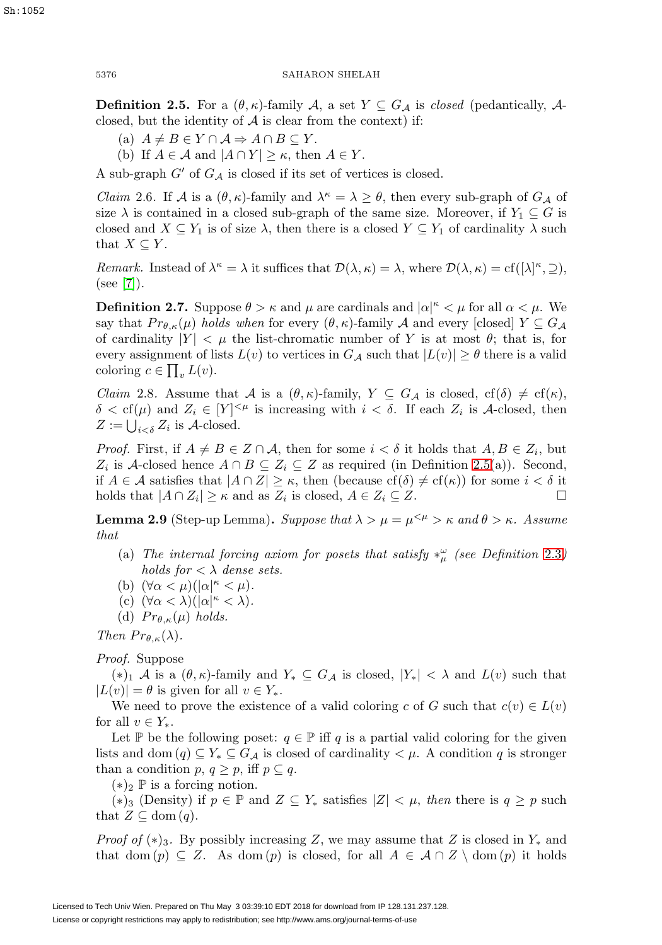Sh:1052

## 5376 SAHARON SHELAH

<span id="page-5-0"></span>**Definition 2.5.** For a  $(\theta, \kappa)$ -family A, a set  $Y \subseteq G_{\mathcal{A}}$  is closed (pedantically, Aclosed, but the identity of  $A$  is clear from the context) if:

- (a)  $A \neq B \in Y \cap \mathcal{A} \Rightarrow A \cap B \subseteq Y$ .
- (b) If  $A \in \mathcal{A}$  and  $|A \cap Y| \geq \kappa$ , then  $A \in Y$ .

A sub-graph  $G'$  of  $G_{\mathcal{A}}$  is closed if its set of vertices is closed.

*Claim* 2.6. If A is a  $(\theta, \kappa)$ -family and  $\lambda^{\kappa} = \lambda \ge \theta$ , then every sub-graph of  $G_{\mathcal{A}}$  of size  $\lambda$  is contained in a closed sub-graph of the same size. Moreover, if  $Y_1 \subseteq G$  is closed and  $X \subseteq Y_1$  is of size  $\lambda$ , then there is a closed  $Y \subseteq Y_1$  of cardinality  $\lambda$  such that  $X \subseteq Y$ .

Remark. Instead of  $\lambda^{\kappa} = \lambda$  it suffices that  $\mathcal{D}(\lambda, \kappa) = \lambda$ , where  $\mathcal{D}(\lambda, \kappa) = \text{cf}([\lambda]^{\kappa}, \supseteq),$ (see [\[7\]](#page-11-2)).

**Definition 2.7.** Suppose  $\theta > \kappa$  and  $\mu$  are cardinals and  $|\alpha|^{\kappa} < \mu$  for all  $\alpha < \mu$ . We say that  $Pr_{\theta,\kappa}(\mu)$  holds when for every  $(\theta,\kappa)$ -family A and every [closed]  $Y \subseteq G_A$ of cardinality  $|Y| < \mu$  the list-chromatic number of Y is at most  $\theta$ ; that is, for every assignment of lists  $L(v)$  to vertices in  $G_{\mathcal{A}}$  such that  $|L(v)| \geq \theta$  there is a valid coloring  $c \in \prod_v L(v)$ .

<span id="page-5-1"></span>*Claim* 2.8. Assume that A is a  $(\theta, \kappa)$ -family,  $Y \subseteq G_{\mathcal{A}}$  is closed,  $cf(\delta) \neq cf(\kappa)$ ,  $\delta < \text{cf}(\mu)$  and  $Z_i \in [Y]^{<\mu}$  is increasing with  $i < \delta$ . If each  $Z_i$  is A-closed, then  $Z := \bigcup_{i < \delta} Z_i$  is A-closed.

*Proof.* First, if  $A \neq B \in \mathbb{Z} \cap \mathcal{A}$ , then for some  $i < \delta$  it holds that  $A, B \in \mathbb{Z}_i$ , but  $Z_i$  is A-closed hence  $A \cap B \subseteq Z_i \subseteq Z$  as required (in Definition [2.5\(](#page-5-0)a)). Second, if  $A \in \mathcal{A}$  satisfies that  $|A \cap Z| \geq \kappa$ , then (because  $cf(\delta) \neq cf(\kappa)$ ) for some  $i < \delta$  it holds that  $|A \cap Z_i| \geq \kappa$  and as  $Z_i$  is closed,  $A \in Z_i \subseteq Z$ .

<span id="page-5-2"></span>**Lemma 2.9** (Step-up Lemma). Suppose that  $\lambda > \mu = \mu^{<\mu} > \kappa$  and  $\theta > \kappa$ . Assume that

- (a) The internal forcing axiom for posets that satisfy  $*_\mu^\omega$  (see Definition [2.3](#page-4-0)) holds for  $\langle \lambda \rangle$  dense sets.
- (b)  $(\forall \alpha < \mu)(|\alpha|^{\kappa} < \mu).$
- (c)  $(\forall \alpha < \lambda)(|\alpha|^{\kappa} < \lambda).$
- (d)  $Pr_{\theta,\kappa}(\mu)$  holds.

Then  $Pr_{\theta,\kappa}(\lambda)$ .

Proof. Suppose

 $(*)_1$  A is a  $(\theta, \kappa)$ -family and  $Y_* \subseteq G_{\mathcal{A}}$  is closed,  $|Y_*| < \lambda$  and  $L(v)$  such that  $|L(v)| = \theta$  is given for all  $v \in Y_*$ .

We need to prove the existence of a valid coloring c of G such that  $c(v) \in L(v)$ for all  $v \in Y_*$ .

Let P be the following poset:  $q \in \mathbb{P}$  iff q is a partial valid coloring for the given lists and dom  $(q) \subseteq Y_* \subseteq G_{\mathcal{A}}$  is closed of cardinality  $\lt \mu$ . A condition q is stronger than a condition  $p, q \geq p$ , iff  $p \subseteq q$ .

 $(*)_2 \, \mathbb{P}$  is a forcing notion.

 $(*)_3$  (Density) if  $p \in \mathbb{P}$  and  $Z \subseteq Y_*$  satisfies  $|Z| < \mu$ , then there is  $q \geq p$  such that  $Z \subseteq \text{dom}(q)$ .

*Proof of*  $(*)_3$ . By possibly increasing Z, we may assume that Z is closed in  $Y_*$  and that dom  $(p) \subseteq Z$ . As dom  $(p)$  is closed, for all  $A \in \mathcal{A} \cap Z \setminus \text{dom}(p)$  it holds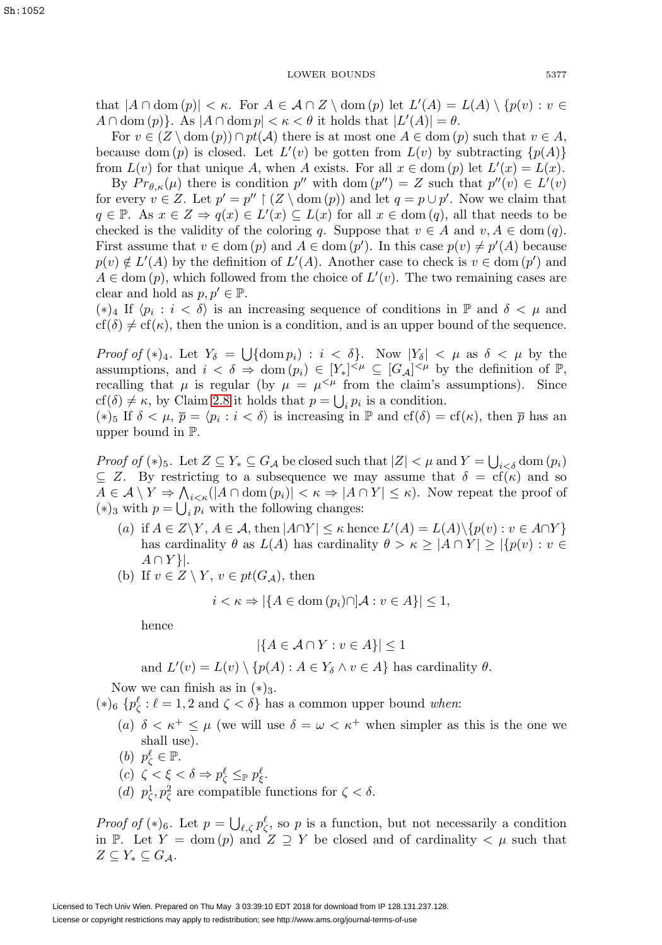that  $|A \cap \text{dom}(p)| < \kappa$ . For  $A \in \mathcal{A} \cap Z \setminus \text{dom}(p)$  let  $L'(A) = L(A) \setminus \{p(v) : v \in \mathcal{A} \}$  $A \cap \text{dom}(p)$ . As  $|A \cap \text{dom}(p)| < \kappa < \theta$  it holds that  $|L'(A)| = \theta$ .

For  $v \in (Z \setminus \text{dom}(p)) \cap pt(\mathcal{A})$  there is at most one  $A \in \text{dom}(p)$  such that  $v \in A$ , because dom  $(p)$  is closed. Let  $L'(v)$  be gotten from  $L(v)$  by subtracting  $\{p(A)\}\$ from  $L(v)$  for that unique A, when A exists. For all  $x \in \text{dom}(p)$  let  $L'(x) = L(x)$ .

By  $Pr_{\theta,\kappa}(\mu)$  there is condition  $p''$  with dom  $(p'') = Z$  such that  $p''(v) \in L'(v)$ for every  $v \in Z$ . Let  $p' = p'' \upharpoonright (Z \setminus \text{dom}(p))$  and let  $q = p \cup p'$ . Now we claim that  $q \in \mathbb{P}$ . As  $x \in Z \Rightarrow q(x) \in L'(x) \subseteq L(x)$  for all  $x \in \text{dom}(q)$ , all that needs to be checked is the validity of the coloring q. Suppose that  $v \in A$  and  $v, A \in \text{dom}(q)$ . First assume that  $v \in \text{dom}(p)$  and  $A \in \text{dom}(p')$ . In this case  $p(v) \neq p'(A)$  because  $p(v) \notin L'(A)$  by the definition of  $L'(A)$ . Another case to check is  $v \in \text{dom}(p')$  and  $A \in \text{dom}(p)$ , which followed from the choice of  $L'(v)$ . The two remaining cases are clear and hold as  $p, p' \in \mathbb{P}$ .

 $(*)_4$  If  $\langle p_i : i < \delta \rangle$  is an increasing sequence of conditions in  $\mathbb{P}$  and  $\delta < \mu$  and  $cf(\delta) \neq cf(\kappa)$ , then the union is a condition, and is an upper bound of the sequence.

*Proof of*  $(*)_4$ . Let  $Y_\delta = \bigcup \{\text{dom } p_i\} : i < \delta\}$ . Now  $|Y_\delta| < \mu$  as  $\delta < \mu$  by the assumptions, and  $i < \delta \Rightarrow \text{dom}(p_i) \in [Y_*]^{<\mu} \subseteq [G_{\mathcal{A}}]^{<\mu}$  by the definition of  $\mathbb{P}$ , recalling that  $\mu$  is regular (by  $\mu = \mu^{<\mu}$  from the claim's assumptions). Since  $\text{cf}(\delta) \neq \kappa$ , by Claim [2.8](#page-5-1) it holds that  $p = \bigcup_i p_i$  is a condition.

(\*)<sub>5</sub> If  $\delta < \mu$ ,  $\overline{p} = \langle p_i : i < \delta \rangle$  is increasing in  $\mathbb P$  and  $cf(\delta) = cf(\kappa)$ , then  $\overline{p}$  has an upper bound in P.

Proof of (\*)<sub>5</sub>. Let  $Z \subseteq Y_* \subseteq G_{\mathcal{A}}$  be closed such that  $|Z| < \mu$  and  $Y = \bigcup_{i \leq \delta}$  dom  $(p_i)$  $\subseteq$  Z. By restricting to a subsequence we may assume that  $\delta = cf(\kappa)$  and so  $A \in \mathcal{A} \setminus Y \Rightarrow \bigwedge_{i \leq \kappa} (|A \cap \text{dom}(p_i)| < \kappa \Rightarrow |A \cap Y| \leq \kappa)$ . Now repeat the proof of (\*)<sub>3</sub> with  $p = \bigcup_i p_i$  with the following changes:

- (a) if  $A \in Z \backslash Y, A \in \mathcal{A}$ , then  $|A \cap Y| \leq \kappa$  hence  $L'(A) = L(A) \backslash \{p(v) : v \in A \cap Y\}$ has cardinality  $\theta$  as  $L(A)$  has cardinality  $\theta > \kappa \geq |A \cap Y| \geq |\{p(v) : v \in Y\}|$  $A \cap Y$ .
- (b) If  $v \in Z \setminus Y$ ,  $v \in pt(G_{\mathcal{A}})$ , then

$$
i < \kappa \Rightarrow |\{ A \in \text{dom}(p_i) \cap \mathcal{A} : v \in A \}| \le 1,
$$

hence

$$
|\{A \in \mathcal{A} \cap Y : v \in A\}| \le 1
$$

and  $L'(v) = L(v) \setminus \{p(A) : A \in Y_\delta \land v \in A\}$  has cardinality  $\theta$ .

Now we can finish as in  $(*)_3$ .

 $(*)_6$  { $p_{\zeta}^{\ell}$  :  $\ell = 1, 2$  and  $\zeta < \delta$ } has a common upper bound *when*:

- (a)  $\delta < \kappa^+ \leq \mu$  (we will use  $\delta = \omega < \kappa^+$  when simpler as this is the one we shall use).
- (b)  $p_{\zeta}^{\ell} \in \mathbb{P}$ .
- (c)  $\zeta < \xi < \delta \Rightarrow p_{\zeta}^{\ell} \leq_{\mathbb{P}} p_{\xi}^{\ell}$ .
- (d)  $p_{\zeta}^1, p_{\zeta}^2$  are compatible functions for  $\zeta < \delta$ .

*Proof of* (\*)<sub>6</sub>. Let  $p = \bigcup_{\ell, \zeta} p_{\zeta}^{\ell}$ , so p is a function, but not necessarily a condition in P. Let  $Y = \text{dom}(p)$  and  $Z \supseteq Y$  be closed and of cardinality  $\lt \mu$  such that  $Z \subseteq Y_* \subseteq G_A$ .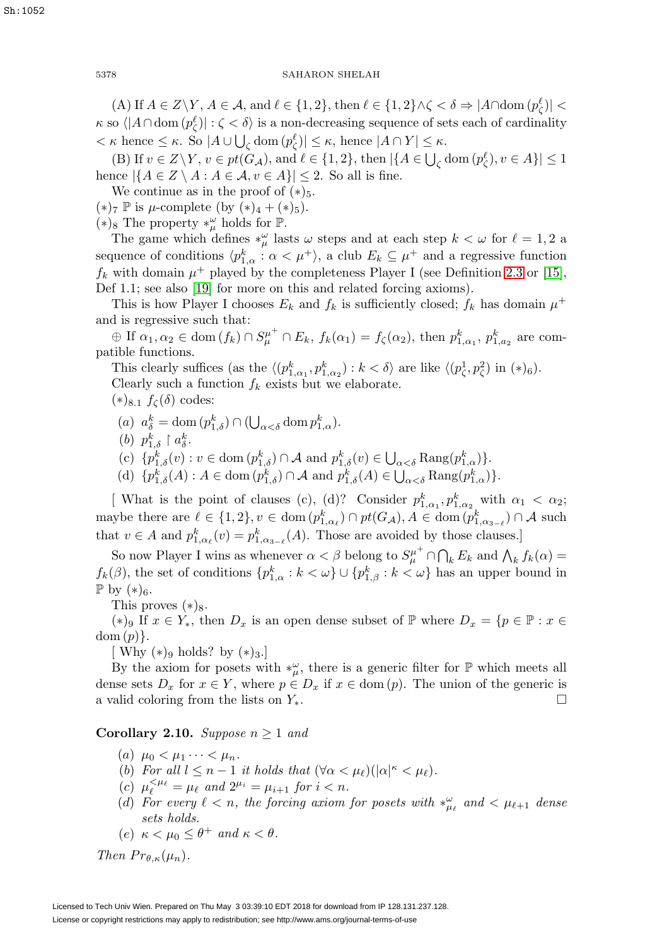(A) If  $A \in Z \backslash Y$ ,  $A \in \mathcal{A}$ , and  $\ell \in \{1, 2\}$ , then  $\ell \in \{1, 2\} \wedge \zeta < \delta \Rightarrow |A \cap \text{dom}(p_{\zeta}^{\ell})|$  $\kappa$  so  $\langle |A \cap \text{dom}(p_{\zeta}^{\ell})| : \zeta < \delta \rangle$  is a non-decreasing sequence of sets each of cardinality  $<\kappa$  hence  $\leq \kappa$ . So  $|A \cup \bigcup_{\zeta}$  dom  $(p_{\zeta}^{\ell})| \leq \kappa$ , hence  $|A \cap Y| \leq \kappa$ .

(B) If  $v \in Z \backslash Y$ ,  $v \in pt(G_{\mathcal{A}})$ , and  $\ell \in \{1, 2\}$ , then  $|\{A \in \bigcup_{\zeta} \text{dom}(p^{\ell}_{\zeta}), v \in A\}| \leq 1$ hence  $|\{A \in \mathbb{Z} \setminus A : A \in \mathcal{A}, v \in A\}| \leq 2$ . So all is fine.

We continue as in the proof of  $(*)_5$ .

 $(*)_7 \mathbb{P}$  is  $\mu$ -complete (by  $(*)_4 + (*)_5$ ).

(\*)<sub>8</sub> The property ∗ $_{\mu}^{\omega}$  holds for  $\mathbb{P}$ .

The game which defines  $*_\mu^\omega$  lasts  $\omega$  steps and at each step  $k < \omega$  for  $\ell = 1, 2$  a sequence of conditions  $\langle p_{1,\alpha}^k : \alpha < \mu^+ \rangle$ , a club  $E_k \subseteq \mu^+$  and a regressive function  $f_k$  with domain  $\mu^+$  played by the completeness Player I (see Definition [2.3](#page-4-0) or [\[15\]](#page-12-2), Def 1.1; see also [\[19\]](#page-12-3) for more on this and related forcing axioms).

This is how Player I chooses  $E_k$  and  $f_k$  is sufficiently closed;  $f_k$  has domain  $\mu^+$ and is regressive such that:

 $\oplus$  If  $\alpha_1, \alpha_2 \in \text{dom}(f_k) \cap S_\mu^{\mu^+} \cap E_k$ ,  $f_k(\alpha_1) = f_\zeta(\alpha_2)$ , then  $p_{1,\alpha_1}^k$ ,  $p_{1,\alpha_2}^k$  are compatible functions.

This clearly suffices (as the  $\langle (p_{1,\alpha_1}^k, p_{1,\alpha_2}^k) : k < \delta \rangle$  are like  $\langle (p_{\zeta}^1, p_{\zeta}^2)$  in  $(*)_6$ ). Clearly such a function  $f_k$  exists but we elaborate.

 $(*)_{8.1} f_{\zeta}(\delta)$  codes:

- (a)  $a_{\delta}^{k} = \text{dom}(p_{1,\delta}^{k}) \cap (\bigcup_{\alpha < \delta} \text{dom } p_{1,\alpha}^{k}).$
- (b)  $p_{1,\delta}^k \restriction a_{\delta}^k$ .
- (c)  $\{p_{1,\delta}^k(v) : v \in \text{dom}(p_{1,\delta}^k) \cap \mathcal{A} \text{ and } p_{1,\delta}^k(v) \in \bigcup_{\alpha < \delta} \text{Rang}(p_{1,\alpha}^k)\}.$
- (d)  $\{p_{1,\delta}^k(A) : A \in \text{dom}(p_{1,\delta}^k) \cap \mathcal{A} \text{ and } p_{1,\delta}^k(A) \in \bigcup_{\alpha < \delta} \text{Rang}(p_{1,\alpha}^k)\}.$

[ What is the point of clauses (c), (d)? Consider  $p_{1,\alpha_1}^k, p_{1,\alpha_2}^k$  with  $\alpha_1 < \alpha_2$ ; maybe there are  $\ell \in \{1,2\}, v \in \text{dom}(p_{1,\alpha_{\ell}}^k) \cap pt(G_{\mathcal{A}}), A \in \text{dom}(p_{1,\alpha_{3-\ell}}^k) \cap \mathcal{A}$  such that  $v \in A$  and  $p_{1,\alpha_{\ell}}^{k}(v) = p_{1,\alpha_{3-\ell}}^{k}(A)$ . Those are avoided by those clauses.]

So now Player I wins as whenever  $\alpha < \beta$  belong to  $S^{\mu^+}_{\mu} \cap \bigcap_k E_k$  and  $\bigwedge_k f_k(\alpha) =$  $f_k(\beta)$ , the set of conditions  $\{p_{1,\alpha}^k : k < \omega\} \cup \{p_{1,\beta}^k : k < \omega\}$  has an upper bound in  $\mathbb{P}$  by  $(*)_6$ .

This proves  $(*)_8$ .

(\*)<sup>9</sup> If  $x \in Y_*$ , then  $D_x$  is an open dense subset of  $\mathbb P$  where  $D_x = \{p \in \mathbb P : x \in$  $dom(p)$ .

[ Why  $(*)_9$  holds? by  $(*)_3$ .]

By the axiom for posets with  $*_\mu^\omega$ , there is a generic filter for  $\mathbb P$  which meets all dense sets  $D_x$  for  $x \in Y$ , where  $p \in D_x$  if  $x \in \text{dom}(p)$ . The union of the generic is a valid coloring from the lists on  $Y_*$ .  $\Box$ 

<span id="page-7-0"></span>**Corollary 2.10.** Suppose  $n \geq 1$  and

- (a)  $\mu_0 < \mu_1 \cdots < \mu_n$ .
- (b) For all  $l \leq n-1$  it holds that  $(\forall \alpha < \mu_\ell)(|\alpha|^{\kappa} < \mu_\ell)$ .
- (c)  $\mu_{\ell}^{<\mu_{\ell}} = \mu_{\ell}$  and  $2^{\mu_i} = \mu_{i+1}$  for  $i < n$ .
- (d) For every  $\ell < n$ , the forcing axiom for posets with  $*_{\mu_{\ell}}^{\omega}$  and  $< \mu_{\ell+1}$  dense sets holds.
- (e)  $\kappa < \mu_0 < \theta^+$  and  $\kappa < \theta$ .

Then  $Pr_{\theta,\kappa}(\mu_n)$ .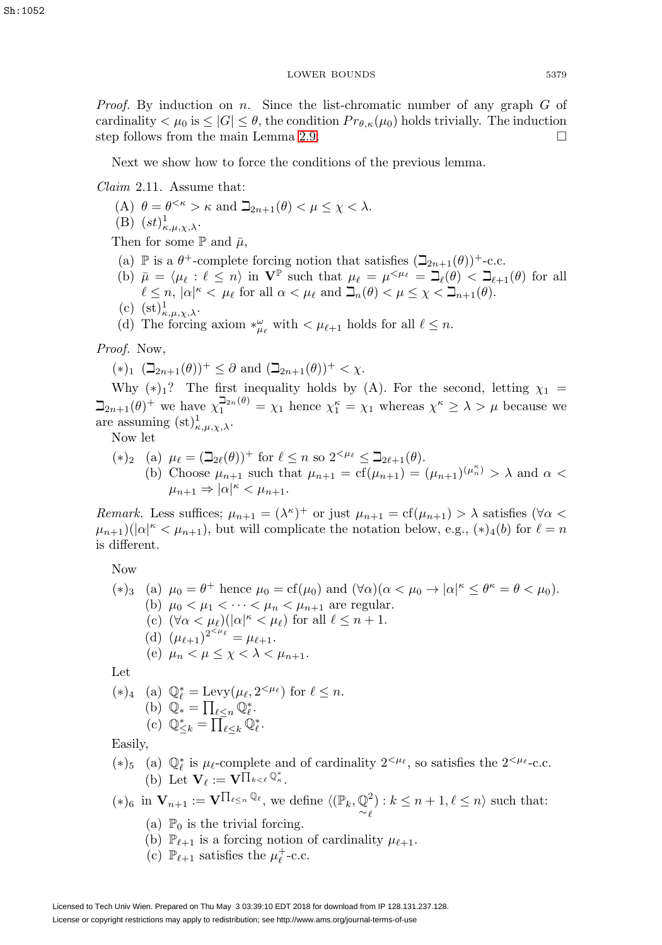*Proof.* By induction on n. Since the list-chromatic number of any graph  $G$  of cardinality  $\lt \mu_0$  is  $\leq |G| \leq \theta$ , the condition  $Pr_{\theta,\kappa}(\mu_0)$  holds trivially. The induction step follows from the main Lemma [2.9.](#page-5-2)  $\Box$ 

Next we show how to force the conditions of the previous lemma.

<span id="page-8-0"></span>Claim 2.11. Assume that:

- (A)  $\theta = \theta^{<\kappa} > \kappa$  and  $\beth_{2n+1}(\theta) < \mu \leq \chi < \lambda$ .
- (B)  $(st)_{\kappa,\mu,\chi,\lambda}^1$ .

Then for some  $\mathbb P$  and  $\bar\mu$ ,

- (a)  $\mathbb P$  is a  $\theta^+$ -complete forcing notion that satisfies  $(\mathbb Z_{2n+1}(\theta))^+$ -c.c.
- (b)  $\bar{\mu} = \langle \mu_{\ell} : \ell \leq n \rangle$  in  $\mathbf{V}^{\mathbb{P}}$  such that  $\mu_{\ell} = \mu^{<\mu_{\ell}} = \mathbf{I}_{\ell}(\theta) < \mathbf{I}_{\ell+1}(\theta)$  for all  $\ell \leq n, |\alpha|^{\kappa} < \mu_{\ell}$  for all  $\alpha < \mu_{\ell}$  and  $\mathcal{L}_n(\theta) < \mu \leq \chi < \mathcal{L}_{n+1}(\theta)$ .
- (c)  $(\mathrm{st})^1_{\kappa,\mu,\chi,\lambda}$ .
- (d) The forcing axiom  $*_{{\mu}_{\ell}}^{\omega}$  with  $<\mu_{\ell+1}$  holds for all  $\ell\leq n$ .

Proof. Now,

$$
(*)_1 \ (\beth_{2n+1}(\theta))^+ \leq \partial \text{ and } (\beth_{2n+1}(\theta))^+ < \chi.
$$

Why  $(*)_1$ ? The first inequality holds by (A). For the second, letting  $\chi_1$  =  $\beth_{2n+1}(\theta)^+$  we have  $\chi_1^{\beth_{2n}(\theta)} = \chi_1$  hence  $\chi_1^{\kappa} = \chi_1$  whereas  $\chi^{\kappa} \geq \lambda > \mu$  because we are assuming  $(\mathrm{st})^1_{\kappa,\mu,\chi,\lambda}$ .

Now let

\n- (\*)<sub>2</sub> (a) 
$$
\mu_{\ell} = (\beth_{2\ell}(\theta))^+
$$
 for  $\ell \leq n$  so  $2^{<\mu_{\ell}} \leq \beth_{2\ell+1}(\theta)$ .
\n- (b) Choose  $\mu_{n+1}$  such that  $\mu_{n+1} = \text{cf}(\mu_{n+1}) = (\mu_{n+1})^{(\mu_n^*)} > \lambda$  and  $\alpha < \mu_{n+1} \Rightarrow |\alpha|^{\kappa} < \mu_{n+1}$ .
\n

Remark. Less suffices;  $\mu_{n+1} = (\lambda^k)^+$  or just  $\mu_{n+1} = \text{cf}(\mu_{n+1}) > \lambda$  satisfies  $(\forall \alpha <$  $(\mu_{n+1})(|\alpha|^{\kappa} < \mu_{n+1}),$  but will complicate the notation below, e.g.,  $(*)_4(b)$  for  $\ell = n$ is different.

Now

\n- (\*)*a*) 
$$
\mu_0 = \theta^+
$$
 hence  $\mu_0 = \text{cf}(\mu_0)$  and  $(\forall \alpha)(\alpha < \mu_0 \rightarrow |\alpha|^{\kappa} \leq \theta^{\kappa} = \theta < \mu_0)$ .
\n- (b)  $\mu_0 < \mu_1 < \cdots < \mu_n < \mu_{n+1}$  are regular.
\n- (c)  $(\forall \alpha < \mu_\ell)(|\alpha|^{\kappa} < \mu_\ell)$  for all  $\ell \leq n+1$ .
\n- (d)  $(\mu_{\ell+1})^{2^{<\mu_\ell}} = \mu_{\ell+1}$ .
\n- (e)  $\mu_n < \mu \leq \chi < \lambda < \mu_{n+1}$ .
\n

Let

\n- (\*)<sub>4</sub> (a) 
$$
\mathbb{Q}_{\ell}^{*} = \text{Levy}(\mu_{\ell}, 2^{<\mu_{\ell}})
$$
 for  $\ell \leq n$ .
\n- (b)  $\mathbb{Q}_{*} = \prod_{\ell \leq n} \mathbb{Q}_{\ell}^{*}$ .
\n- (c)  $\mathbb{Q}_{\leq k}^{*} = \prod_{\ell \leq k} \mathbb{Q}_{\ell}^{*}$ .
\n

Easily,

(\*)<sub>5</sub> (a)  $\mathbb{Q}_{\ell}^{*}$  is  $\mu_{\ell}$ -complete and of cardinality  $2^{<\mu_{\ell}}$ , so satisfies the  $2^{<\mu_{\ell}}$ -c.c. (b) Let  $\mathbf{V}_{\ell} := \mathbf{V}^{\prod_{k < \ell} \mathbb{Q}_{\kappa}^*}.$ 

 $(*)_6$  in  $\mathbf{V}_{n+1} := \mathbf{V}^{\prod_{\ell \leq n} \mathbb{Q}_{\ell}},$  we define  $\langle (\mathbb{P}_k, \mathbb{Q})$ ∼ 2  $\ell$  $\big): k \leq n+1, \ell \leq n$  such that:

- (a)  $\mathbb{P}_0$  is the trivial forcing.
- (b)  $\mathbb{P}_{\ell+1}$  is a forcing notion of cardinality  $\mu_{\ell+1}$ .
- (c)  $\mathbb{P}_{\ell+1}$  satisfies the  $\mu_{\ell}^+$ -c.c.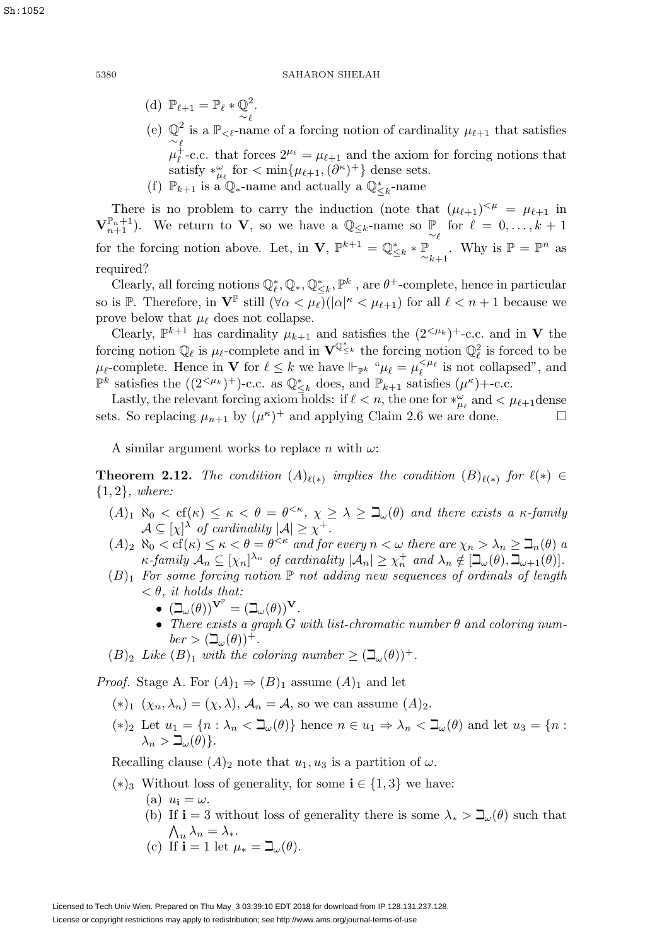Sh:1052

(d)  $\mathbb{P}_{\ell+1} = \mathbb{P}_{\ell} * \mathbb{Q}^2$ . (e)  $\mathbb{Q}^2$  is a  $\mathbb{P}_{\leq \ell}$ -name of a forcing notion of cardinality  $\mu_{\ell+1}$  that satisfies  $\mu_{\ell}^{\ell}$ -c.c. that forces  $2^{\mu_{\ell}} = \mu_{\ell+1}$  and the axiom for forcing notions that satisfy  $*_{\mu_{\ell}}^{\omega}$  for  $< \min\{\mu_{\ell+1}, (\partial^{\kappa})^+\}\$  dense sets. (f)  $\mathbb{P}_{k+1}$  is a  $\mathbb{Q}_{*}$ -name and actually a  $\mathbb{Q}_{\leq k}^{*}$ -name

There is no problem to carry the induction (note that  $(\mu_{\ell+1})^{\leq \mu} = \mu_{\ell+1}$  in  $\mathbf{V}_{n+1}^{\mathbb{P}_n+1}$ ). We return to **V**, so we have a  $\mathbb{Q}_{\leq k}$ -name so  $\mathbb{P}$  for  $\ell = 0, \ldots, k+1$ for the forcing notion above. Let, in **V**,  $\mathbb{P}^{k+1} = \mathbb{Q}_{\leq k}^* * \mathbb{P}_{\sim k+1}$ . Why is  $\mathbb{P} = \mathbb{P}^n$  as required?

Clearly, all forcing notions  $\mathbb{Q}_{\ell}^*, \mathbb{Q}_*, \mathbb{Q}_{\leq k}^*, \mathbb{P}^k$ , are  $\theta^+$ -complete, hence in particular so is  $\mathbb{P}$ . Therefore, in  $\mathbf{V}^{\mathbb{P}}$  still  $(\forall \alpha < \mu_\ell)(|\alpha|^{\kappa} < \mu_{\ell+1})$  for all  $\ell < n+1$  because we prove below that  $\mu_{\ell}$  does not collapse.

Clearly,  $\mathbb{P}^{k+1}$  has cardinality  $\mu_{k+1}$  and satisfies the  $(2^{<\mu_k})^+$ -c.c. and in **V** the forcing notion  $\mathbb{Q}_\ell$  is  $\mu_\ell$ -complete and in  $\mathbf{V}^{\mathbb{Q}^*}_{\leq k}$  the forcing notion  $\mathbb{Q}_\ell^2$  is forced to be  $\mu_{\ell}$ -complete. Hence in **V** for  $\ell \leq k$  we have  $\Vdash_{\mathbb{P}^k}$  " $\mu_{\ell} = \mu_{\ell}^{\leq \mu_{\ell}}$  is not collapsed", and <sup> $\mathbb{P}^k$ </sup> satisfies the ((2<sup><μ<sub>k</sub>)<sup>+</sup>)-c.c. as  $\mathbb{Q}^*_{\leq k}$  does, and  $\mathbb{P}_{k+1}$  satisfies (μ<sup>κ</sup>)+-c.c.</sup>

Lastly, the relevant forcing axiom holds: if  $\ell < n$ , the one for  $*_{\mu_{\ell}}^{\omega}$  and  $< \mu_{\ell+1}$  dense sets. So replacing  $\mu_{n+1}$  by  $(\mu^k)^+$  and applying Claim 2.6 we are done.  $\Box$ 

A similar argument works to replace n with  $\omega$ :

**Theorem 2.12.** The condition  $(A)_{\ell(*)}$  implies the condition  $(B)_{\ell(*)}$  for  $\ell(*) \in$ {1, 2}, where:

- $(A)_1$   $\aleph_0 < \text{cf}(\kappa) \leq \kappa < \theta = \theta^{<\kappa}, \ \chi \geq \lambda \geq \beth_\omega(\theta)$  and there exists a  $\kappa$ -family  $\mathcal{A} \subseteq [\chi]^\lambda$  of cardinality  $|\mathcal{A}| \geq \chi^+$ .
- $(A)_2 \aleph_0 < \text{cf}(\kappa) \leq \kappa < \theta = \theta^{<\kappa}$  and for every  $n < \omega$  there are  $\chi_n > \lambda_n \geq \mathfrak{I}_n(\theta)$  a  $\kappa$ -family  $\mathcal{A}_n \subseteq [\chi_n]^{\lambda_n}$  of cardinality  $|\mathcal{A}_n| \geq \chi_n^+$  and  $\lambda_n \notin [\mathcal{a}_\omega(\theta), \mathcal{a}_{\omega+1}(\theta)].$
- $(B)_1$  For some forcing notion  $\mathbb P$  not adding new sequences of ordinals of length  $< \theta$ , it holds that:
	- $\bullet \ \ (\beth_\omega(\theta))^{\mathbf{V}^{\mathbb{P}}} = (\beth_\omega(\theta))^{\mathbf{V}}.$
	- There exists a graph G with list-chromatic number  $\theta$  and coloring num $ber > (\mathcal{Q}_{\omega}(\theta))^{+}.$
- $(B)_2$  Like  $(B)_1$  with the coloring number  $\geq (\beth_\omega(\theta))^+$ .

*Proof.* Stage A. For  $(A)_1 \Rightarrow (B)_1$  assume  $(A)_1$  and let

- $(\ast)_1$   $(\chi_n, \lambda_n) = (\chi, \lambda), \mathcal{A}_n = \mathcal{A}$ , so we can assume  $(A)_2$ .
- $(*)_2$  Let  $u_1 = \{n : \lambda_n < \mathbb{L}_\omega(\theta)\}\$  hence  $n \in u_1 \Rightarrow \lambda_n < \mathbb{L}_\omega(\theta)\$  and let  $u_3 = \{n : \lambda_n < \mathbb{L}_\omega(\theta)\}\$  $\lambda_n > \beth_\omega(\theta)$ .

Recalling clause  $(A)_2$  note that  $u_1, u_3$  is a partition of  $\omega$ .

- (∗)<sup>3</sup> Without loss of generality, for some **i** ∈ {1, 3} we have:
	- $(a)$   $u_i = \omega$ .
	- (b) If **i** = 3 without loss of generality there is some  $\lambda_* > \mathbb{L}_{\omega}(\theta)$  such that  $\bigwedge_n \lambda_n = \lambda_*$ .
	- (c) If **i** = 1 let  $\mu_* = \beth_\omega(\theta)$ .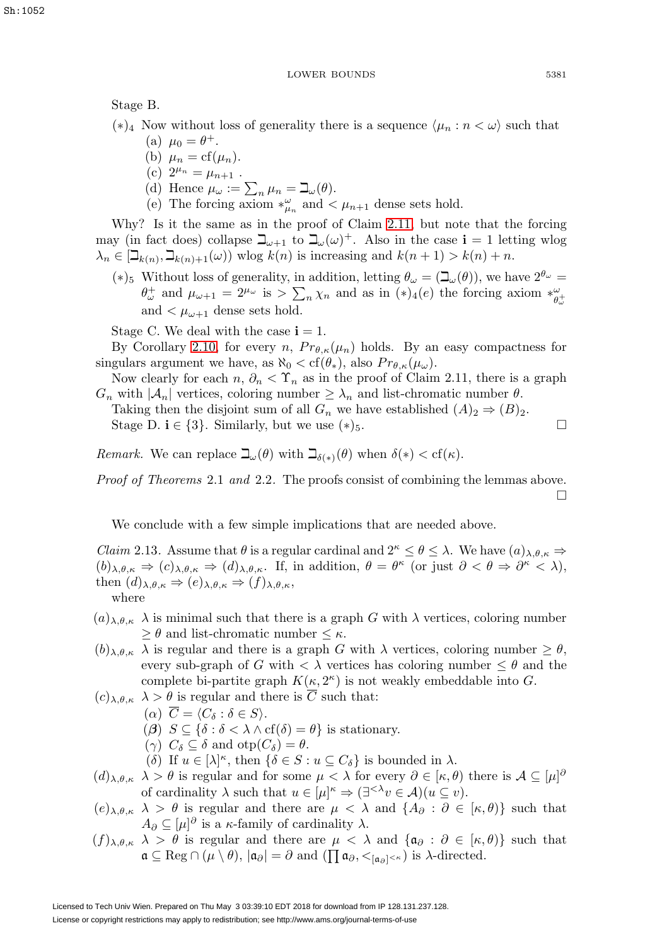Stage B.

- (∗)<sub>4</sub> Now without loss of generality there is a sequence  $\langle \mu_n : n \langle \omega \rangle$  such that
	- (a)  $\mu_0 = \theta^+$ .
	- (b)  $\mu_n = cf(\mu_n)$ .
	- (c)  $2^{\mu_n} = \mu_{n+1}$ .
	- (d) Hence  $\mu_{\omega} := \sum_{n} \mu_{n} = \beth_{\omega}(\theta)$ .
	- (e) The forcing axiom  $*_{\mu_n}^{\omega}$  and  $\lt \mu_{n+1}$  dense sets hold.

Why? Is it the same as in the proof of Claim [2.11,](#page-8-0) but note that the forcing may (in fact does) collapse  $\beth_{\omega+1}$  to  $\beth_{\omega}(\omega)^+$ . Also in the case **i** = 1 letting wlog  $\lambda_n \in [\mathcal{Q}_{k(n)}, \mathcal{Q}_{k(n)+1}(\omega)]$  wlog  $k(n)$  is increasing and  $k(n+1) > k(n) + n$ .

(\*)<sub>5</sub> Without loss of generality, in addition, letting  $\theta_{\omega} = (\mathbb{L}_{\omega}(\theta))$ , we have  $2^{\theta_{\omega}} =$  $\theta_{\omega}^+$  and  $\mu_{\omega+1} = 2^{\mu_{\omega}}$  is  $\sum_{n} \chi_n$  and as in  $(*)_4(e)$  the forcing axiom  $*_{\theta_{\omega}^+}^{\omega}$ and  $\lt \mu_{\omega+1}$  dense sets hold.

Stage C. We deal with the case  $i = 1$ .

By Corollary [2.10,](#page-7-0) for every n,  $Pr_{\theta,\kappa}(\mu_n)$  holds. By an easy compactness for singulars argument we have, as  $\aleph_0 < \text{cf}(\theta_*)$ , also  $Pr_{\theta,\kappa}(\mu_\omega)$ .

Now clearly for each  $n, \partial_n < \Upsilon_n$  as in the proof of Claim 2.11, there is a graph  $G_n$  with  $|\mathcal{A}_n|$  vertices, coloring number  $\geq \lambda_n$  and list-chromatic number  $\theta$ .

Taking then the disjoint sum of all  $G_n$  we have established  $(A)_2 \Rightarrow (B)_2$ . Stage D.  $\mathbf{i} \in \{3\}$ . Similarly, but we use  $(*)_5$ .

Remark. We can replace  $\beth_\omega(\theta)$  with  $\beth_{\delta(*)}(\theta)$  when  $\delta(*) < \text{cf}(\kappa)$ .

Proof of Theorems 2.1 and 2.2. The proofs consist of combining the lemmas above.  $\Box$ 

We conclude with a few simple implications that are needed above.

<span id="page-10-0"></span>*Claim* 2.13. Assume that  $\theta$  is a regular cardinal and  $2^k \leq \theta \leq \lambda$ . We have  $(a)_{\lambda,\theta,\kappa} \Rightarrow$  $(b)_{\lambda,\theta,\kappa} \Rightarrow (c)_{\lambda,\theta,\kappa} \Rightarrow (d)_{\lambda,\theta,\kappa}$ . If, in addition,  $\theta = \theta^{\kappa}$  (or just  $\partial < \theta \Rightarrow \partial^{\kappa} < \lambda$ ), then  $(d)_{\lambda,\theta,\kappa} \Rightarrow (e)_{\lambda,\theta,\kappa} \Rightarrow (f)_{\lambda,\theta,\kappa}$ , where

- $(a)_{\lambda,\theta,\kappa}$   $\lambda$  is minimal such that there is a graph G with  $\lambda$  vertices, coloring number  $\geq \theta$  and list-chromatic number  $\leq \kappa$ .
- $(b)_{\lambda,\theta,\kappa}$   $\lambda$  is regular and there is a graph G with  $\lambda$  vertices, coloring number  $\geq \theta$ , every sub-graph of G with  $\langle \lambda \rangle$  vertices has coloring number  $\leq \theta$  and the complete bi-partite graph  $K(\kappa, 2^{\kappa})$  is not weakly embeddable into G.
- $(c)_{\lambda,\theta,\kappa}$   $\lambda > \theta$  is regular and there is  $\overline{C}$  such that:
	- $(\alpha) \ \ C = \langle C_{\delta} : \delta \in S \rangle.$
	- (*β*)  $S \subseteq {\delta : \delta < \lambda \wedge cf(\delta) = \theta}$  is stationary.
	- (γ)  $C_{\delta} \subseteq \delta$  and  $otp(C_{\delta}) = \theta$ .
	- (δ) If  $u \in [\lambda]^\kappa$ , then  $\{\delta \in S : u \subseteq C_\delta\}$  is bounded in  $\lambda$ .
- $(d)_{\lambda,\theta,\kappa}$   $\lambda > \theta$  is regular and for some  $\mu < \lambda$  for every  $\partial \in [\kappa,\theta)$  there is  $\mathcal{A} \subseteq [\mu]^{\partial}$ of cardinality  $\lambda$  such that  $u \in [\mu]^\kappa \Rightarrow (\exists^{<\lambda} v \in \mathcal{A})(u \subseteq v)$ .
- $(e)_{\lambda,\theta,\kappa}$   $\lambda > \theta$  is regular and there are  $\mu < \lambda$  and  $\{A_{\partial}: \partial \in [\kappa,\theta)\}\$  such that  $A_{\partial} \subseteq [\mu]^{\partial}$  is a  $\kappa$ -family of cardinality  $\lambda$ .
- $(f)_{\lambda,\theta,\kappa}$   $\lambda > \theta$  is regular and there are  $\mu < \lambda$  and  $\{\mathfrak{a}_{\partial} : \partial \in [\kappa,\theta)\}\$  such that  $\mathfrak{a} \subseteq \text{Reg} \cap (\mu \setminus \theta), |\mathfrak{a}_{\partial}| = \partial \text{ and } (\prod \mathfrak{a}_{\partial}, <_{[\mathfrak{a}_{\partial}]<\kappa}) \text{ is } \lambda\text{-directed}.$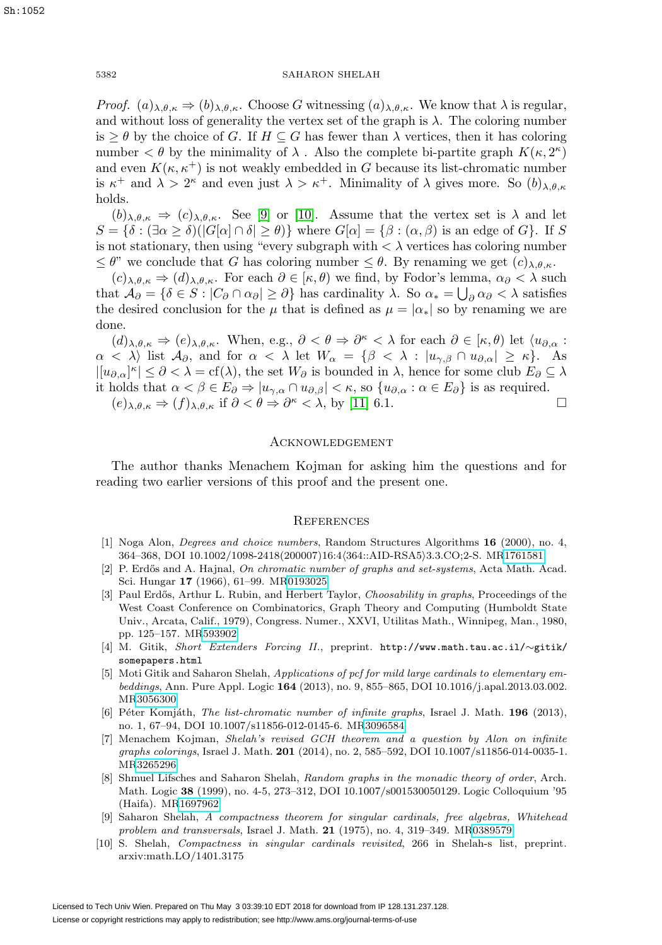*Proof.*  $(a)_{\lambda,\theta,\kappa} \Rightarrow (b)_{\lambda,\theta,\kappa}$ . Choose G witnessing  $(a)_{\lambda,\theta,\kappa}$ . We know that  $\lambda$  is regular, and without loss of generality the vertex set of the graph is  $\lambda$ . The coloring number is  $\geq \theta$  by the choice of G. If  $H \subseteq G$  has fewer than  $\lambda$  vertices, then it has coloring number  $\lt \theta$  by the minimality of  $\lambda$ . Also the complete bi-partite graph  $K(\kappa, 2^{\kappa})$ and even  $K(\kappa, \kappa^+)$  is not weakly embedded in G because its list-chromatic number is  $\kappa^+$  and  $\lambda > 2^{\kappa}$  and even just  $\lambda > \kappa^+$ . Minimality of  $\lambda$  gives more. So  $(b)_{\lambda,\theta,\kappa}$ holds.

 $(b)_{\lambda,\theta,\kappa} \Rightarrow (c)_{\lambda,\theta,\kappa}$ . See [\[9\]](#page-11-9) or [\[10\]](#page-11-7). Assume that the vertex set is  $\lambda$  and let  $S = \{\delta : (\exists \alpha \geq \delta) | G[\alpha] \cap \delta \geq \theta\}\$  where  $G[\alpha] = \{\beta : (\alpha, \beta) \text{ is an edge of } G\}\$ . If S is not stationary, then using "every subgraph with  $\langle \lambda \rangle$  vertices has coloring number  $\leq \theta$ " we conclude that G has coloring number  $\leq \theta$ . By renaming we get  $(c)_{\lambda,\theta,\kappa}$ .

 $(c)_{\lambda,\theta,\kappa} \Rightarrow (d)_{\lambda,\theta,\kappa}$ . For each  $\partial \in [\kappa,\theta)$  we find, by Fodor's lemma,  $\alpha_{\partial} < \lambda$  such that  $\mathcal{A}_{\partial} = \{ \delta \in S : |C_{\partial} \cap \alpha_{\partial}| \ge \partial \}$  has cardinality  $\lambda$ . So  $\alpha_* = \bigcup_{\partial} \alpha_{\partial} < \lambda$  satisfies the desired conclusion for the  $\mu$  that is defined as  $\mu = |\alpha_*|$  so by renaming we are done.

 $(d)_{\lambda,\theta,\kappa} \Rightarrow (e)_{\lambda,\theta,\kappa}$ . When, e.g.,  $\partial < \theta \Rightarrow \partial^{\kappa} < \lambda$  for each  $\partial \in [\kappa,\theta)$  let  $\langle u_{\partial,\alpha} :$  $\alpha < \lambda$  list  $\mathcal{A}_{\partial}$ , and for  $\alpha < \lambda$  let  $W_{\alpha} = {\beta < \lambda : |u_{\gamma,\beta} \cap u_{\partial,\alpha}| \geq \kappa}.$  As  $|[u_{\partial,\alpha}]^{\kappa}| \leq \partial <\lambda = \text{cf}(\lambda)$ , the set  $W_{\partial}$  is bounded in  $\lambda$ , hence for some club  $E_{\partial} \subseteq \lambda$ it holds that  $\alpha < \beta \in E_{\partial} \Rightarrow |u_{\gamma,\alpha} \cap u_{\partial,\beta}| < \kappa$ , so  $\{u_{\partial,\alpha} : \alpha \in E_{\partial}\}\)$  is as required.  $(e)_{\lambda,\theta,\kappa} \Rightarrow (f)_{\lambda,\theta,\kappa}$  if  $\partial < \theta \Rightarrow \partial^{\kappa} < \lambda$ , by [\[11\]](#page-12-4) 6.1.  $\Box$ 

## Acknowledgement

The author thanks Menachem Kojman for asking him the questions and for reading two earlier versions of this proof and the present one.

## **REFERENCES**

- <span id="page-11-0"></span>[1] Noga Alon, Degrees and choice numbers, Random Structures Algorithms **16** (2000), no. 4, 364–368, DOI 10.1002/1098-2418(200007)16:4(364::AID-RSA5)3.3.CO;2-S. M[R1761581](http://www.ams.org/mathscinet-getitem?mr=1761581)
- <span id="page-11-3"></span>[2] P. Erdős and A. Hajnal, On chromatic number of graphs and set-systems, Acta Math. Acad. Sci. Hungar **17** (1966), 61–99. M[R0193025](http://www.ams.org/mathscinet-getitem?mr=0193025)
- <span id="page-11-1"></span>[3] Paul Erdős, Arthur L. Rubin, and Herbert Taylor, *Choosability in graphs*, Proceedings of the West Coast Conference on Combinatorics, Graph Theory and Computing (Humboldt State Univ., Arcata, Calif., 1979), Congress. Numer., XXVI, Utilitas Math., Winnipeg, Man., 1980, pp. 125–157. M[R593902](http://www.ams.org/mathscinet-getitem?mr=593902)
- <span id="page-11-5"></span>[4] M. Gitik, Short Extenders Forcing II., preprint. http://www.math.tau.ac.il/∼gitik/ somepapers.html
- <span id="page-11-8"></span>[5] Moti Gitik and Saharon Shelah, Applications of pcf for mild large cardinals to elementary embeddings, Ann. Pure Appl. Logic **164** (2013), no. 9, 855–865, DOI 10.1016/j.apal.2013.03.002. M[R3056300](http://www.ams.org/mathscinet-getitem?mr=3056300)
- <span id="page-11-4"></span>[6] Péter Komjáth, *The list-chromatic number of infinite graphs*, Israel J. Math. **196** (2013), no. 1, 67–94, DOI 10.1007/s11856-012-0145-6. M[R3096584](http://www.ams.org/mathscinet-getitem?mr=3096584)
- <span id="page-11-2"></span>[7] Menachem Kojman, Shelah's revised GCH theorem and a question by Alon on infinite graphs colorings, Israel J. Math. **201** (2014), no. 2, 585–592, DOI 10.1007/s11856-014-0035-1. M[R3265296](http://www.ams.org/mathscinet-getitem?mr=3265296)
- <span id="page-11-6"></span>[8] Shmuel Lifsches and Saharon Shelah, Random graphs in the monadic theory of order, Arch. Math. Logic **38** (1999), no. 4-5, 273–312, DOI 10.1007/s001530050129. Logic Colloquium '95 (Haifa). M[R1697962](http://www.ams.org/mathscinet-getitem?mr=1697962)
- <span id="page-11-9"></span>[9] Saharon Shelah, A compactness theorem for singular cardinals, free algebras, Whitehead problem and transversals, Israel J. Math. **21** (1975), no. 4, 319–349. M[R0389579](http://www.ams.org/mathscinet-getitem?mr=0389579)
- <span id="page-11-7"></span>[10] S. Shelah, Compactness in singular cardinals revisited, 266 in Shelah-s list, preprint. arxiv:math.LO/1401.3175